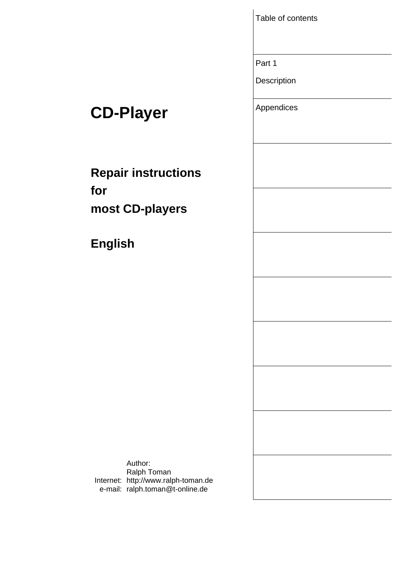Table of contents

Part 1

**Description** 

# **CD-Player** Appendices

**Repair instructions for most CD-players** 

**English** 

Internet: http://www.ralph-toman.de e-mail: ralph.toman@t-online.deAuthor: Ralph Toman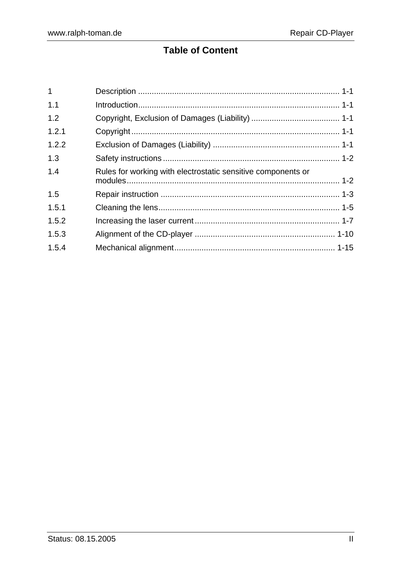# **Table of Content**

| Rules for working with electrostatic sensitive components or |  |
|--------------------------------------------------------------|--|
|                                                              |  |
|                                                              |  |
|                                                              |  |
|                                                              |  |
|                                                              |  |
|                                                              |  |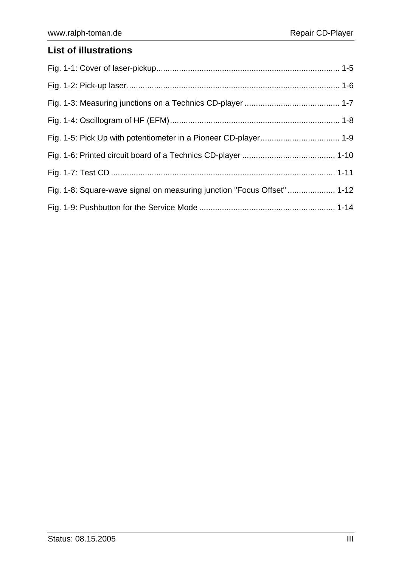### **List of illustrations**

| Fig. 1-8: Square-wave signal on measuring junction "Focus Offset"  1-12 |  |
|-------------------------------------------------------------------------|--|
|                                                                         |  |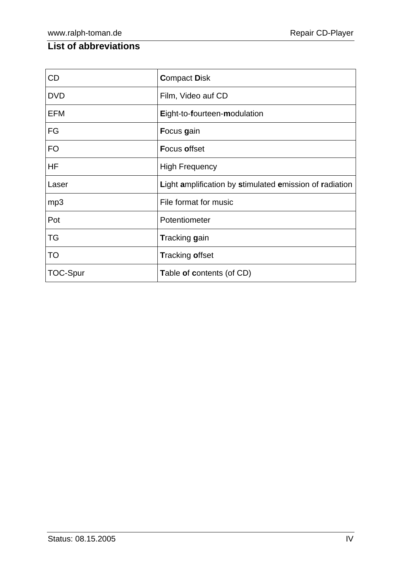### **List of abbreviations**

| <b>CD</b>       | <b>Compact Disk</b>                                     |
|-----------------|---------------------------------------------------------|
| <b>DVD</b>      | Film, Video auf CD                                      |
| <b>EFM</b>      | Eight-to-fourteen-modulation                            |
| FG              | Focus gain                                              |
| <b>FO</b>       | <b>Focus offset</b>                                     |
| HF              | <b>High Frequency</b>                                   |
| Laser           | Light amplification by stimulated emission of radiation |
| mp3             | File format for music                                   |
| Pot             | Potentiometer                                           |
| TG              | Tracking gain                                           |
| TO              | <b>Tracking offset</b>                                  |
| <b>TOC-Spur</b> | Table of contents (of CD)                               |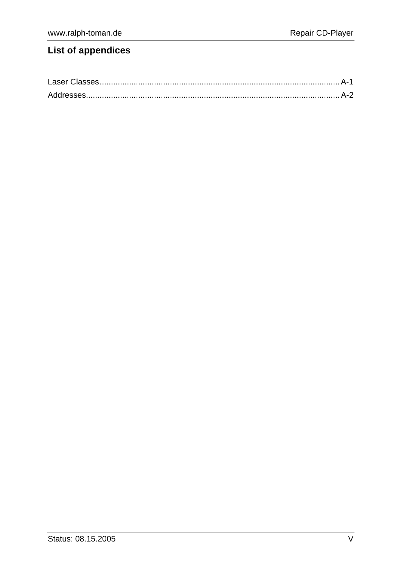## **List of appendices**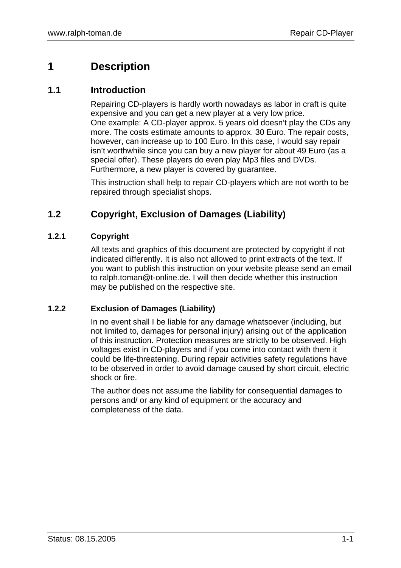### **1 Description**

#### **1.1 Introduction**

Repairing CD-players is hardly worth nowadays as labor in craft is quite expensive and you can get a new player at a very low price. One example: A CD-player approx. 5 years old doesn't play the CDs any more. The costs estimate amounts to approx. 30 Euro. The repair costs, however, can increase up to 100 Euro. In this case, I would say repair isn't worthwhile since you can buy a new player for about 49 Euro (as a special offer). These players do even play Mp3 files and DVDs. Furthermore, a new player is covered by guarantee.

This instruction shall help to repair CD-players which are not worth to be repaired through specialist shops.

### **1.2 Copyright, Exclusion of Damages (Liability)**

#### **1.2.1 Copyright**

All texts and graphics of this document are protected by copyright if not indicated differently. It is also not allowed to print extracts of the text. If you want to publish this instruction on your website please send an email to ralph.toman@t-online.de. I will then decide whether this instruction may be published on the respective site.

#### **1.2.2 Exclusion of Damages (Liability)**

In no event shall I be liable for any damage whatsoever (including, but not limited to, damages for personal injury) arising out of the application of this instruction. Protection measures are strictly to be observed. High voltages exist in CD-players and if you come into contact with them it could be life-threatening. During repair activities safety regulations have to be observed in order to avoid damage caused by short circuit, electric shock or fire.

The author does not assume the liability for consequential damages to persons and/ or any kind of equipment or the accuracy and completeness of the data.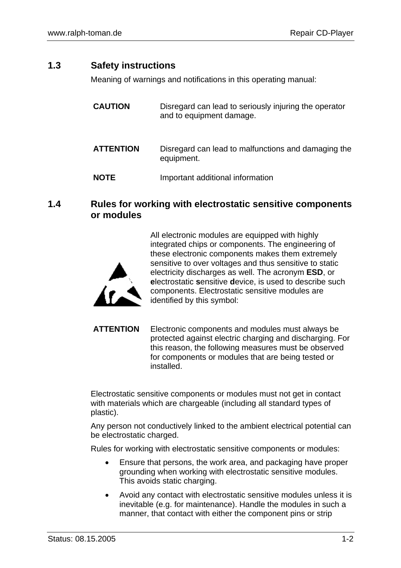#### **1.3 Safety instructions**

Meaning of warnings and notifications in this operating manual:

| <b>CAUTION</b>   | Disregard can lead to seriously injuring the operator<br>and to equipment damage. |
|------------------|-----------------------------------------------------------------------------------|
| <b>ATTENTION</b> | Disregard can lead to malfunctions and damaging the<br>equipment.                 |
| <b>NOTE</b>      | Important additional information                                                  |

#### **1.4 Rules for working with electrostatic sensitive components or modules**

integrated chips or components. The engineering of these electronic components makes them extremely sensitive to over voltages and thus sensitive to static electricity discharges as well. The acronym **ESD**, or **e**lectrostatic **s**ensitive **d**evice, is used to describe such components. Electrostatic sensitive modules are identified by this symbol:

All electronic modules are equipped with highly

**ATTENTION** Electronic components and modules must always be protected against electric charging and discharging. For this reason, the following measures must be observed for components or modules that are being tested or installed.

Electrostatic sensitive components or modules must not get in contact with materials which are chargeable (including all standard types of plastic).

Any person not conductively linked to the ambient electrical potential can be electrostatic charged.

Rules for working with electrostatic sensitive components or modules:

- Ensure that persons, the work area, and packaging have proper grounding when working with electrostatic sensitive modules. This avoids static charging.
- Avoid any contact with electrostatic sensitive modules unless it is inevitable (e.g. for maintenance). Handle the modules in such a manner, that contact with either the component pins or strip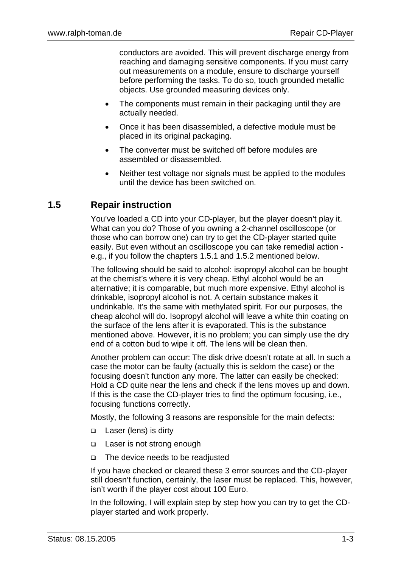conductors are avoided. This will prevent discharge energy from reaching and damaging sensitive components. If you must carry out measurements on a module, ensure to discharge yourself before performing the tasks. To do so, touch grounded metallic objects. Use grounded measuring devices only.

- The components must remain in their packaging until they are actually needed.
- Once it has been disassembled, a defective module must be placed in its original packaging.
- The converter must be switched off before modules are assembled or disassembled.
- Neither test voltage nor signals must be applied to the modules until the device has been switched on.

### **1.5 Repair instruction**

You've loaded a CD into your CD-player, but the player doesn't play it. What can you do? Those of you owning a 2-channel oscilloscope (or those who can borrow one) can try to get the CD-player started quite easily. But even without an oscilloscope you can take remedial action e.g., if you follow the chapters 1.5.1 and 1.5.2 mentioned below.

The following should be said to alcohol: isopropyl alcohol can be bought at the chemist's where it is very cheap. Ethyl alcohol would be an alternative; it is comparable, but much more expensive. Ethyl alcohol is drinkable, isopropyl alcohol is not. A certain substance makes it undrinkable. It's the same with methylated spirit. For our purposes, the cheap alcohol will do. Isopropyl alcohol will leave a white thin coating on the surface of the lens after it is evaporated. This is the substance mentioned above. However, it is no problem; you can simply use the dry end of a cotton bud to wipe it off. The lens will be clean then.

Another problem can occur: The disk drive doesn't rotate at all. In such a case the motor can be faulty (actually this is seldom the case) or the focusing doesn't function any more. The latter can easily be checked: Hold a CD quite near the lens and check if the lens moves up and down. If this is the case the CD-player tries to find the optimum focusing, i.e., focusing functions correctly.

Mostly, the following 3 reasons are responsible for the main defects:

- □ Laser (lens) is dirty
- Laser is not strong enough
- □ The device needs to be readjusted

If you have checked or cleared these 3 error sources and the CD-player still doesn't function, certainly, the laser must be replaced. This, however, isn't worth if the player cost about 100 Euro.

In the following, I will explain step by step how you can try to get the CDplayer started and work properly.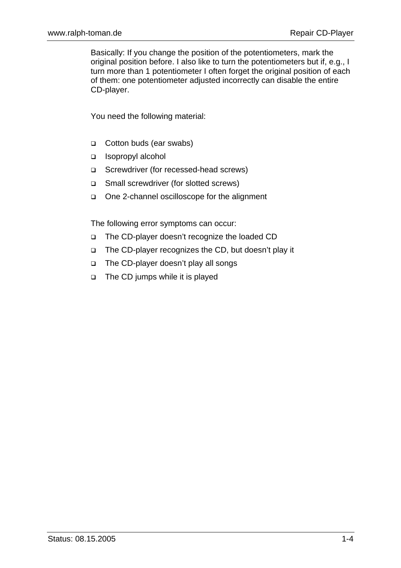Basically: If you change the position of the potentiometers, mark the original position before. I also like to turn the potentiometers but if, e.g., I turn more than 1 potentiometer I often forget the original position of each of them: one potentiometer adjusted incorrectly can disable the entire CD-player.

You need the following material:

- □ Cotton buds (ear swabs)
- Isopropyl alcohol
- □ Screwdriver (for recessed-head screws)
- □ Small screwdriver (for slotted screws)
- □ One 2-channel oscilloscope for the alignment

The following error symptoms can occur:

- The CD-player doesn't recognize the loaded CD
- The CD-player recognizes the CD, but doesn't play it
- □ The CD-player doesn't play all songs
- □ The CD jumps while it is played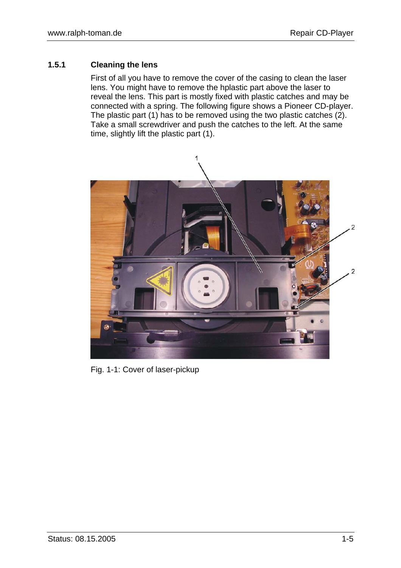#### **1.5.1 Cleaning the lens**

First of all you have to remove the cover of the casing to clean the laser lens. You might have to remove the hplastic part above the laser to reveal the lens. This part is mostly fixed with plastic catches and may be connected with a spring. The following figure shows a Pioneer CD-player. The plastic part (1) has to be removed using the two plastic catches (2). Take a small screwdriver and push the catches to the left. At the same time, slightly lift the plastic part (1).



Fig. 1-1: Cover of laser-pickup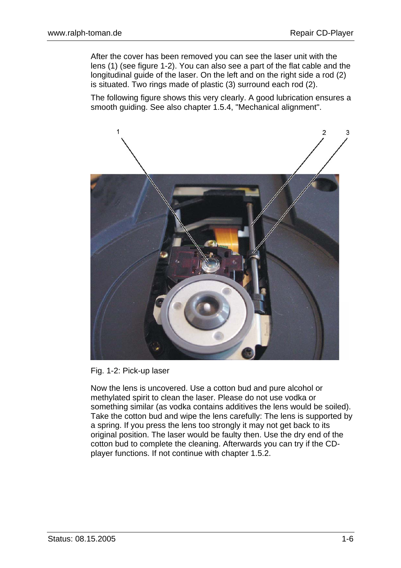After the cover has been removed you can see the laser unit with the lens (1) (see figure 1-2). You can also see a part of the flat cable and the longitudinal guide of the laser. On the left and on the right side a rod (2) is situated. Two rings made of plastic (3) surround each rod (2).

The following figure shows this very clearly. A good lubrication ensures a smooth guiding. See also chapter 1.5.4, "Mechanical alignment".



Fig. 1-2: Pick-up laser

Now the lens is uncovered. Use a cotton bud and pure alcohol or methylated spirit to clean the laser. Please do not use vodka or something similar (as vodka contains additives the lens would be soiled). Take the cotton bud and wipe the lens carefully: The lens is supported by a spring. If you press the lens too strongly it may not get back to its original position. The laser would be faulty then. Use the dry end of the cotton bud to complete the cleaning. Afterwards you can try if the CDplayer functions. If not continue with chapter 1.5.2.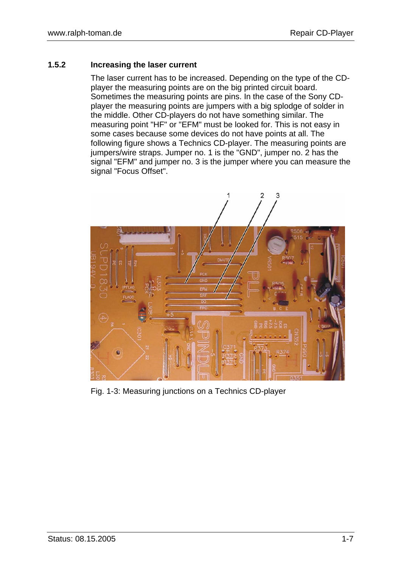#### **1.5.2 Increasing the laser current**

The laser current has to be increased. Depending on the type of the CDplayer the measuring points are on the big printed circuit board. Sometimes the measuring points are pins. In the case of the Sony CDplayer the measuring points are jumpers with a big splodge of solder in the middle. Other CD-players do not have something similar. The measuring point "HF" or "EFM" must be looked for. This is not easy in some cases because some devices do not have points at all. The following figure shows a Technics CD-player. The measuring points are jumpers/wire straps. Jumper no. 1 is the "GND", jumper no. 2 has the signal "EFM" and jumper no. 3 is the jumper where you can measure the signal "Focus Offset".



Fig. 1-3: Measuring junctions on a Technics CD-player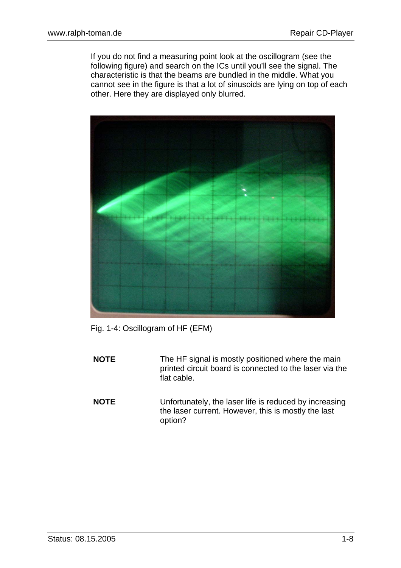If you do not find a measuring point look at the oscillogram (see the following figure) and search on the ICs until you'll see the signal. The characteristic is that the beams are bundled in the middle. What you cannot see in the figure is that a lot of sinusoids are lying on top of each other. Here they are displayed only blurred.



Fig. 1-4: Oscillogram of HF (EFM)

- **NOTE** The HF signal is mostly positioned where the main printed circuit board is connected to the laser via the flat cable.
- **NOTE** Unfortunately, the laser life is reduced by increasing the laser current. However, this is mostly the last option?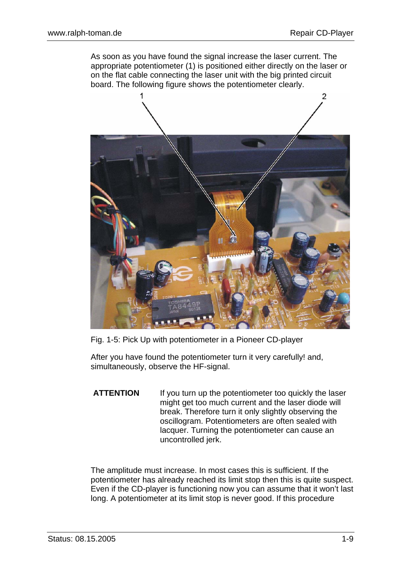As soon as you have found the signal increase the laser current. The appropriate potentiometer (1) is positioned either directly on the laser or on the flat cable connecting the laser unit with the big printed circuit board. The following figure shows the potentiometer clearly.



Fig. 1-5: Pick Up with potentiometer in a Pioneer CD-player

After you have found the potentiometer turn it very carefully! and, simultaneously, observe the HF-signal.

**ATTENTION** If you turn up the potentiometer too quickly the laser might get too much current and the laser diode will break. Therefore turn it only slightly observing the oscillogram. Potentiometers are often sealed with lacquer. Turning the potentiometer can cause an uncontrolled jerk.

The amplitude must increase. In most cases this is sufficient. If the potentiometer has already reached its limit stop then this is quite suspect. Even if the CD-player is functioning now you can assume that it won't last long. A potentiometer at its limit stop is never good. If this procedure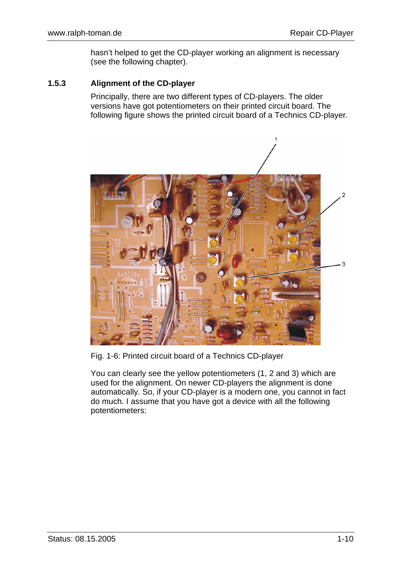hasn't helped to get the CD-player working an alignment is necessary (see the following chapter).

#### **1.5.3 Alignment of the CD-player**

Principally, there are two different types of CD-players. The older versions have got potentiometers on their printed circuit board. The following figure shows the printed circuit board of a Technics CD-player.



Fig. 1-6: Printed circuit board of a Technics CD-player

You can clearly see the yellow potentiometers (1, 2 and 3) which are used for the alignment. On newer CD-players the alignment is done automatically. So, if your CD-player is a modern one, you cannot in fact do much. I assume that you have got a device with all the following potentiometers: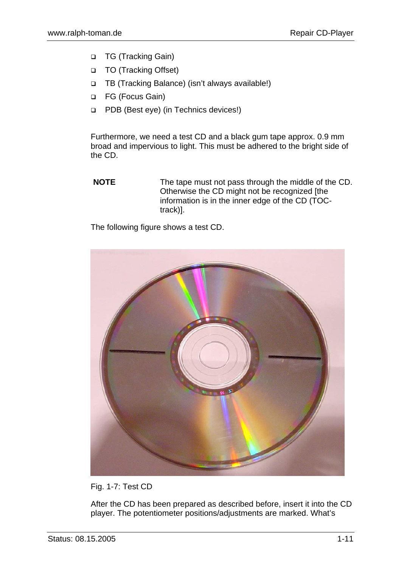- □ TG (Tracking Gain)
- □ TO (Tracking Offset)
- TB (Tracking Balance) (isn't always available!)
- FG (Focus Gain)
- **PDB** (Best eye) (in Technics devices!)

Furthermore, we need a test CD and a black gum tape approx. 0.9 mm broad and impervious to light. This must be adhered to the bright side of the CD.

**NOTE** The tape must not pass through the middle of the CD. Otherwise the CD might not be recognized [the information is in the inner edge of the CD (TOCtrack)].

The following figure shows a test CD.



Fig. 1-7: Test CD

After the CD has been prepared as described before, insert it into the CD player. The potentiometer positions/adjustments are marked. What's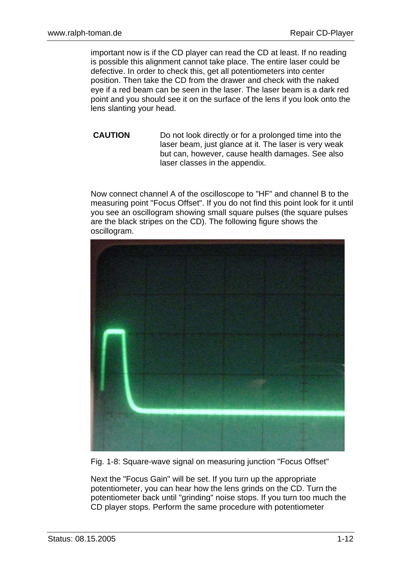important now is if the CD player can read the CD at least. If no reading is possible this alignment cannot take place. The entire laser could be defective. In order to check this, get all potentiometers into center position. Then take the CD from the drawer and check with the naked eye if a red beam can be seen in the laser. The laser beam is a dark red point and you should see it on the surface of the lens if you look onto the lens slanting your head.

**CAUTION** Do not look directly or for a prolonged time into the laser beam, just glance at it. The laser is very weak but can, however, cause health damages. See also laser classes in the appendix.

Now connect channel A of the oscilloscope to "HF" and channel B to the measuring point "Focus Offset". If you do not find this point look for it until you see an oscillogram showing small square pulses (the square pulses are the black stripes on the CD). The following figure shows the oscillogram.



Fig. 1-8: Square-wave signal on measuring junction "Focus Offset"

Next the "Focus Gain" will be set. If you turn up the appropriate potentiometer, you can hear how the lens grinds on the CD. Turn the potentiometer back until "grinding" noise stops. If you turn too much the CD player stops. Perform the same procedure with potentiometer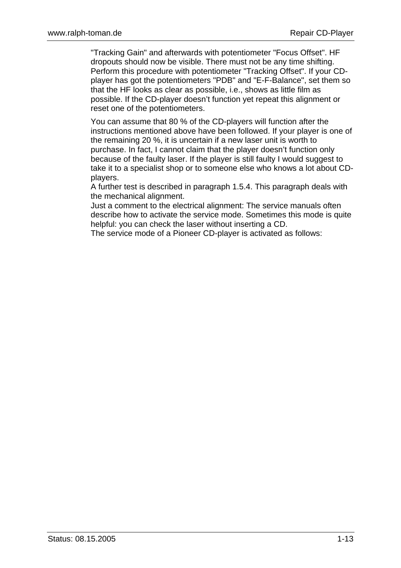"Tracking Gain" and afterwards with potentiometer "Focus Offset". HF dropouts should now be visible. There must not be any time shifting. Perform this procedure with potentiometer "Tracking Offset". If your CDplayer has got the potentiometers "PDB" and "E-F-Balance", set them so that the HF looks as clear as possible, i.e., shows as little film as possible. If the CD-player doesn't function yet repeat this alignment or reset one of the potentiometers.

You can assume that 80 % of the CD-players will function after the instructions mentioned above have been followed. If your player is one of the remaining 20 %, it is uncertain if a new laser unit is worth to purchase. In fact, I cannot claim that the player doesn't function only because of the faulty laser. If the player is still faulty I would suggest to take it to a specialist shop or to someone else who knows a lot about CDplayers.

A further test is described in paragraph 1.5.4. This paragraph deals with the mechanical alignment.

Just a comment to the electrical alignment: The service manuals often describe how to activate the service mode. Sometimes this mode is quite helpful: you can check the laser without inserting a CD.

The service mode of a Pioneer CD-player is activated as follows: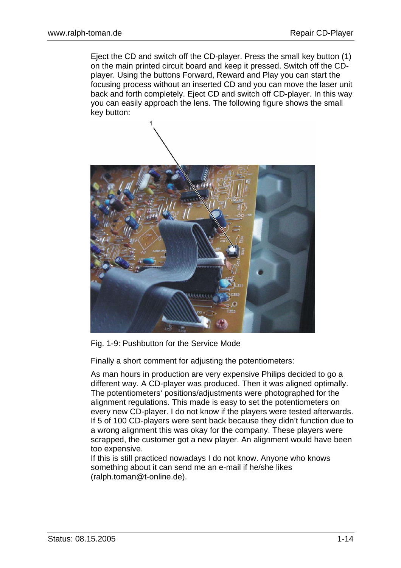Eject the CD and switch off the CD-player. Press the small key button (1) on the main printed circuit board and keep it pressed. Switch off the CDplayer. Using the buttons Forward, Reward and Play you can start the focusing process without an inserted CD and you can move the laser unit back and forth completely. Eject CD and switch off CD-player. In this way you can easily approach the lens. The following figure shows the small key button:



Fig. 1-9: Pushbutton for the Service Mode

Finally a short comment for adjusting the potentiometers:

As man hours in production are very expensive Philips decided to go a different way. A CD-player was produced. Then it was aligned optimally. The potentiometers' positions/adjustments were photographed for the alignment regulations. This made is easy to set the potentiometers on every new CD-player. I do not know if the players were tested afterwards. If 5 of 100 CD-players were sent back because they didn't function due to a wrong alignment this was okay for the company. These players were scrapped, the customer got a new player. An alignment would have been too expensive.

If this is still practiced nowadays I do not know. Anyone who knows something about it can send me an e-mail if he/she likes (ralph.toman@t-online.de).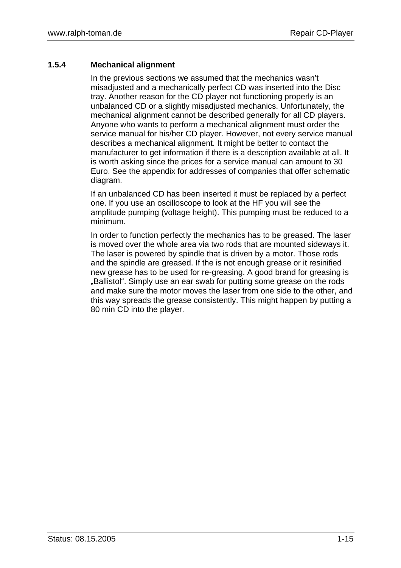#### **1.5.4 Mechanical alignment**

In the previous sections we assumed that the mechanics wasn't misadjusted and a mechanically perfect CD was inserted into the Disc tray. Another reason for the CD player not functioning properly is an unbalanced CD or a slightly misadjusted mechanics. Unfortunately, the mechanical alignment cannot be described generally for all CD players. Anyone who wants to perform a mechanical alignment must order the service manual for his/her CD player. However, not every service manual describes a mechanical alignment. It might be better to contact the manufacturer to get information if there is a description available at all. It is worth asking since the prices for a service manual can amount to 30 Euro. See the appendix for addresses of companies that offer schematic diagram.

If an unbalanced CD has been inserted it must be replaced by a perfect one. If you use an oscilloscope to look at the HF you will see the amplitude pumping (voltage height). This pumping must be reduced to a minimum.

In order to function perfectly the mechanics has to be greased. The laser is moved over the whole area via two rods that are mounted sideways it. The laser is powered by spindle that is driven by a motor. Those rods and the spindle are greased. If the is not enough grease or it resinified new grease has to be used for re-greasing. A good brand for greasing is "Ballistol". Simply use an ear swab for putting some grease on the rods. and make sure the motor moves the laser from one side to the other, and this way spreads the grease consistently. This might happen by putting a 80 min CD into the player.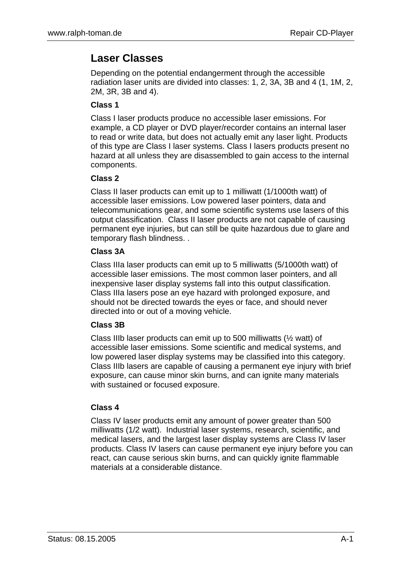### **Laser Classes**

Depending on the potential endangerment through the accessible radiation laser units are divided into classes: 1, 2, 3A, 3B and 4 (1, 1M, 2, 2M, 3R, 3B and 4).

#### **Class 1**

Class I laser products produce no accessible laser emissions. For example, a CD player or DVD player/recorder contains an internal laser to read or write data, but does not actually emit any laser light. Products of this type are Class I laser systems. Class I lasers products present no hazard at all unless they are disassembled to gain access to the internal components.

#### **Class 2**

Class II laser products can emit up to 1 milliwatt (1/1000th watt) of accessible laser emissions. Low powered laser pointers, data and telecommunications gear, and some scientific systems use lasers of this output classification. Class II laser products are not capable of causing permanent eye injuries, but can still be quite hazardous due to glare and temporary flash blindness. .

#### **Class 3A**

Class IIIa laser products can emit up to 5 milliwatts (5/1000th watt) of accessible laser emissions. The most common laser pointers, and all inexpensive laser display systems fall into this output classification. Class IIIa lasers pose an eye hazard with prolonged exposure, and should not be directed towards the eyes or face, and should never directed into or out of a moving vehicle.

#### **Class 3B**

Class IIIb laser products can emit up to 500 milliwatts  $(\frac{1}{2}$  watt) of accessible laser emissions. Some scientific and medical systems, and low powered laser display systems may be classified into this category. Class IIIb lasers are capable of causing a permanent eye injury with brief exposure, can cause minor skin burns, and can ignite many materials with sustained or focused exposure.

#### **Class 4**

Class IV laser products emit any amount of power greater than 500 milliwatts (1/2 watt). Industrial laser systems, research, scientific, and medical lasers, and the largest laser display systems are Class IV laser products. Class IV lasers can cause permanent eye injury before you can react, can cause serious skin burns, and can quickly ignite flammable materials at a considerable distance.